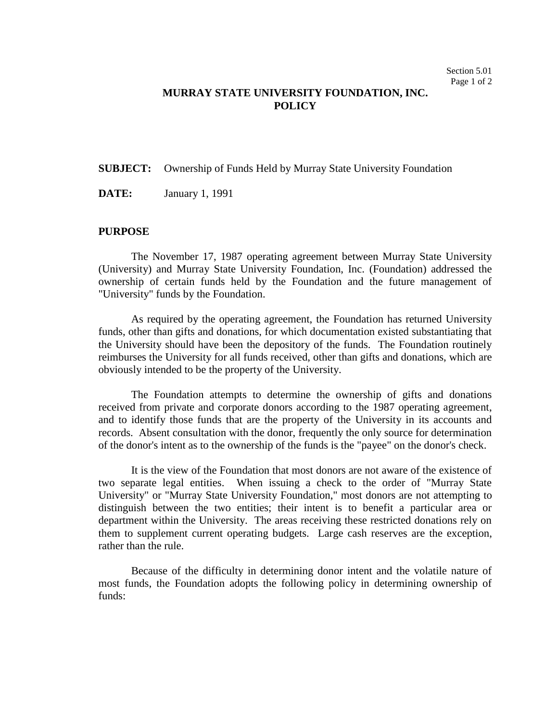## **MURRAY STATE UNIVERSITY FOUNDATION, INC. POLICY**

## **SUBJECT:** Ownership of Funds Held by Murray State University Foundation

**DATE:** January 1, 1991

## **PURPOSE**

The November 17, 1987 operating agreement between Murray State University (University) and Murray State University Foundation, Inc. (Foundation) addressed the ownership of certain funds held by the Foundation and the future management of "University" funds by the Foundation.

As required by the operating agreement, the Foundation has returned University funds, other than gifts and donations, for which documentation existed substantiating that the University should have been the depository of the funds. The Foundation routinely reimburses the University for all funds received, other than gifts and donations, which are obviously intended to be the property of the University.

The Foundation attempts to determine the ownership of gifts and donations received from private and corporate donors according to the 1987 operating agreement, and to identify those funds that are the property of the University in its accounts and records. Absent consultation with the donor, frequently the only source for determination of the donor's intent as to the ownership of the funds is the "payee" on the donor's check.

It is the view of the Foundation that most donors are not aware of the existence of two separate legal entities. When issuing a check to the order of "Murray State University" or "Murray State University Foundation," most donors are not attempting to distinguish between the two entities; their intent is to benefit a particular area or department within the University. The areas receiving these restricted donations rely on them to supplement current operating budgets. Large cash reserves are the exception, rather than the rule.

Because of the difficulty in determining donor intent and the volatile nature of most funds, the Foundation adopts the following policy in determining ownership of funds: